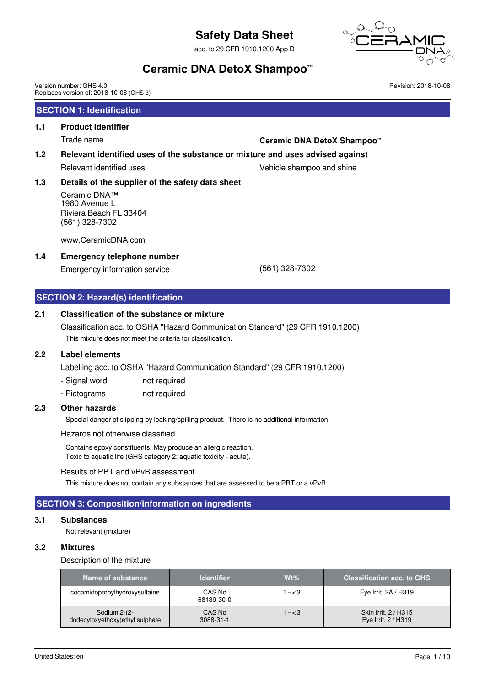acc. to 29 CFR 1910.1200 App D



Revision: 2018-10-08

# **Ceramic DNA DetoX Shampoo™**

Version number: GHS 4.0 Replaces version of: 2018-10-08 (GHS 3)

# **SECTION 1: Identification**

### **1.1 Product identifier**

# Trade name **Ceramic DNA DetoX Shampoo™**

#### **1.2 Relevant identified uses of the substance or mixture and uses advised against**

# Relevant identified uses The Community Communication of the Vehicle shampoo and shine

## **1.3 Details of the supplier of the safety data sheet**

Ceramic DNA™ 1980 Avenue L Riviera Beach FL 33404 (561) 328-7302

www.CeramicDNA.com

#### **1.4 Emergency telephone number**

Emergency information service (561) 328-7302

**SECTION 2: Hazard(s) identification**

### **2.1 Classification of the substance or mixture**

Classification acc. to OSHA "Hazard Communication Standard" (29 CFR 1910.1200) This mixture does not meet the criteria for classification.

#### **2.2 Label elements**

Labelling acc. to OSHA "Hazard Communication Standard" (29 CFR 1910.1200)

- Signal word not required
- Pictograms not required

### **2.3 Other hazards**

Special danger of slipping by leaking/spilling product. There is no additional information.

Hazards not otherwise classified

Contains epoxy constituents. May produce an allergic reaction. Toxic to aquatic life (GHS category 2: aquatic toxicity - acute).

#### Results of PBT and vPvB assessment

This mixture does not contain any substances that are assessed to be a PBT or a vPvB.

### **SECTION 3: Composition/information on ingredients**

#### **3.1 Substances**

Not relevant (mixture)

#### **3.2 Mixtures**

#### Description of the mixture

| Name of substance                                | <b>Identifier</b>    | Wt%       | <b>Classification acc. to GHS</b>           |
|--------------------------------------------------|----------------------|-----------|---------------------------------------------|
| cocamidopropylhydroxysultaine                    | CAS No<br>68139-30-0 | $1 - < 3$ | Eye Irrit. 2A / H319                        |
| Sodium 2-(2-<br>dodecyloxyethoxy) ethyl sulphate | CAS No<br>3088-31-1  | $1 - < 3$ | Skin Irrit. 2 / H315<br>Eye Irrit. 2 / H319 |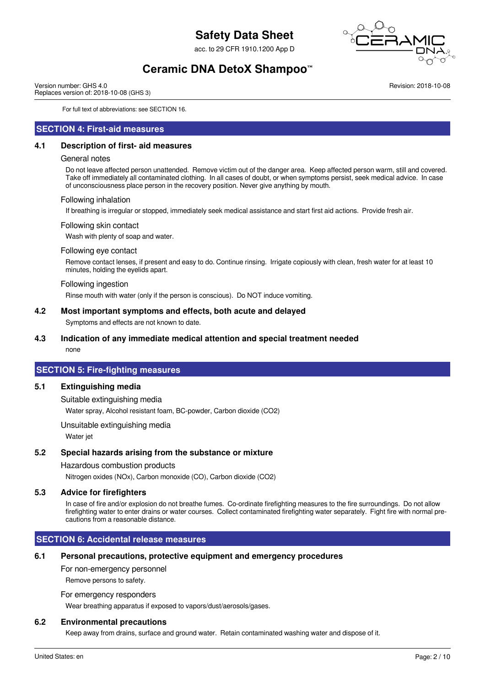acc. to 29 CFR 1910.1200 App D



# **Ceramic DNA DetoX Shampoo™**

Version number: GHS 4.0 Replaces version of: 2018-10-08 (GHS 3) Revision: 2018-10-08

For full text of abbreviations: see SECTION 16.

#### **SECTION 4: First-aid measures**

#### **4.1 Description of first- aid measures**

#### General notes

Do not leave affected person unattended. Remove victim out of the danger area. Keep affected person warm, still and covered. Take off immediately all contaminated clothing. In all cases of doubt, or when symptoms persist, seek medical advice. In case of unconsciousness place person in the recovery position. Never give anything by mouth.

#### Following inhalation

If breathing is irregular or stopped, immediately seek medical assistance and start first aid actions. Provide fresh air.

#### Following skin contact

Wash with plenty of soap and water.

#### Following eye contact

Remove contact lenses, if present and easy to do. Continue rinsing. Irrigate copiously with clean, fresh water for at least 10 minutes, holding the eyelids apart.

#### Following ingestion

Rinse mouth with water (only if the person is conscious). Do NOT induce vomiting.

#### **4.2 Most important symptoms and effects, both acute and delayed**

Symptoms and effects are not known to date.

#### **4.3 Indication of any immediate medical attention and special treatment needed**

none

#### **SECTION 5: Fire-fighting measures**

#### **5.1 Extinguishing media**

#### Suitable extinguishing media

Water spray, Alcohol resistant foam, BC-powder, Carbon dioxide (CO2)

#### Unsuitable extinguishing media

Water jet

#### **5.2 Special hazards arising from the substance or mixture**

#### Hazardous combustion products

Nitrogen oxides (NOx), Carbon monoxide (CO), Carbon dioxide (CO2)

#### **5.3 Advice for firefighters**

In case of fire and/or explosion do not breathe fumes. Co-ordinate firefighting measures to the fire surroundings. Do not allow firefighting water to enter drains or water courses. Collect contaminated firefighting water separately. Fight fire with normal precautions from a reasonable distance.

### **SECTION 6: Accidental release measures**

#### **6.1 Personal precautions, protective equipment and emergency procedures**

For non-emergency personnel

Remove persons to safety.

#### For emergency responders

Wear breathing apparatus if exposed to vapors/dust/aerosols/gases.

#### **6.2 Environmental precautions**

Keep away from drains, surface and ground water. Retain contaminated washing water and dispose of it.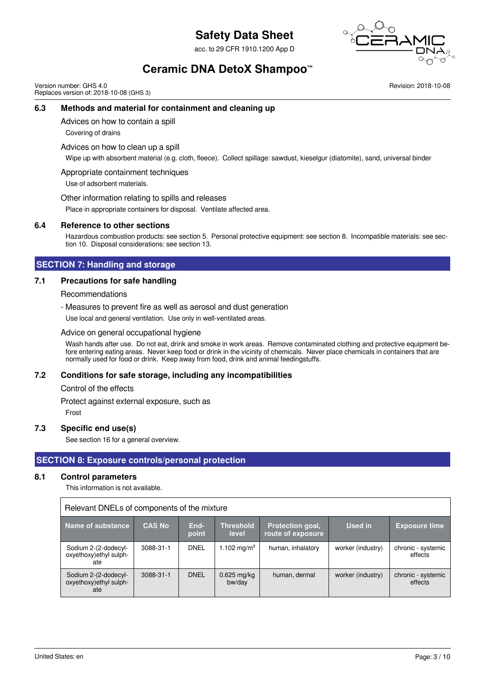acc. to 29 CFR 1910.1200 App D



# **Ceramic DNA DetoX Shampoo™**

Version number: GHS 4.0 Replaces version of: 2018-10-08 (GHS 3) Revision: 2018-10-08

### **6.3 Methods and material for containment and cleaning up**

Advices on how to contain a spill

Covering of drains

Advices on how to clean up a spill

Wipe up with absorbent material (e.g. cloth, fleece). Collect spillage: sawdust, kieselgur (diatomite), sand, universal binder

Appropriate containment techniques

Use of adsorbent materials.

Other information relating to spills and releases

Place in appropriate containers for disposal. Ventilate affected area.

#### **6.4 Reference to other sections**

Hazardous combustion products: see section 5. Personal protective equipment: see section 8. Incompatible materials: see section 10. Disposal considerations: see section 13.

#### **SECTION 7: Handling and storage**

#### **7.1 Precautions for safe handling**

Recommendations

- Measures to prevent fire as well as aerosol and dust generation

Use local and general ventilation. Use only in well-ventilated areas.

Advice on general occupational hygiene

Wash hands after use. Do not eat, drink and smoke in work areas. Remove contaminated clothing and protective equipment before entering eating areas. Never keep food or drink in the vicinity of chemicals. Never place chemicals in containers that are normally used for food or drink. Keep away from food, drink and animal feedingstuffs.

#### **7.2 Conditions for safe storage, including any incompatibilities**

Control of the effects

Protect against external exposure, such as

Frost

#### **7.3 Specific end use(s)**

See section 16 for a general overview.

#### **SECTION 8: Exposure controls/personal protection**

#### **8.1 Control parameters**

This information is not available.

| Relevant DNELs of components of the mixture            |                |               |                           |                                       |                   |                               |
|--------------------------------------------------------|----------------|---------------|---------------------------|---------------------------------------|-------------------|-------------------------------|
| Name of substance                                      | <b>CAS No.</b> | End-<br>point | <b>Threshold</b><br>level | Protection goal,<br>route of exposure | Used in           | <b>Exposure time</b>          |
| Sodium 2-(2-dodecyl-<br>oxyethoxy) ethyl sulph-<br>ate | 3088-31-1      | <b>DNEL</b>   | 1.102 mg/m <sup>3</sup>   | human, inhalatory                     | worker (industry) | chronic - systemic<br>effects |
| Sodium 2-(2-dodecyl-<br>oxyethoxy) ethyl sulph-<br>ate | 3088-31-1      | <b>DNEL</b>   | $0.625$ mg/kg<br>bw/day   | human, dermal                         | worker (industry) | chronic - systemic<br>effects |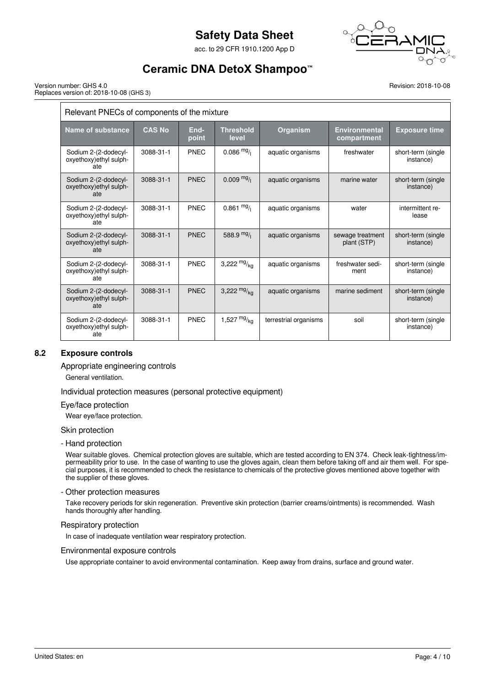acc. to 29 CFR 1910.1200 App D



# **Ceramic DNA DetoX Shampoo™**

Version number: GHS 4.0 Replaces version of: 2018-10-08 (GHS 3) Revision: 2018-10-08

| Relevant PNECs of components of the mixture            |               |               |                           |                       |                                     |                                 |
|--------------------------------------------------------|---------------|---------------|---------------------------|-----------------------|-------------------------------------|---------------------------------|
| Name of substance                                      | <b>CAS No</b> | End-<br>point | <b>Threshold</b><br>level | Organism              | <b>Environmental</b><br>compartment | <b>Exposure time</b>            |
| Sodium 2-(2-dodecyl-<br>oxyethoxy) ethyl sulph-<br>ate | 3088-31-1     | <b>PNEC</b>   | $0.086 \frac{mg}{l}$      | aquatic organisms     | freshwater                          | short-term (single<br>instance) |
| Sodium 2-(2-dodecyl-<br>oxyethoxy) ethyl sulph-<br>ate | 3088-31-1     | <b>PNEC</b>   | $0.009$ mg/               | aquatic organisms     | marine water                        | short-term (single<br>instance) |
| Sodium 2-(2-dodecyl-<br>oxyethoxy) ethyl sulph-<br>ate | 3088-31-1     | PNEC          | $0.861 \frac{mg}{l}$      | aquatic organisms     | water                               | intermittent re-<br>lease       |
| Sodium 2-(2-dodecyl-<br>oxyethoxy) ethyl sulph-<br>ate | 3088-31-1     | <b>PNEC</b>   | 588.9 $mg/1$              | aquatic organisms     | sewage treatment<br>plant (STP)     | short-term (single<br>instance) |
| Sodium 2-(2-dodecyl-<br>oxyethoxy) ethyl sulph-<br>ate | 3088-31-1     | PNEC          | 3,222 $mg/kq$             | aquatic organisms     | freshwater sedi-<br>ment            | short-term (single<br>instance) |
| Sodium 2-(2-dodecyl-<br>oxyethoxy) ethyl sulph-<br>ate | 3088-31-1     | <b>PNEC</b>   | 3,222 $mg/kq$             | aquatic organisms     | marine sediment                     | short-term (single<br>instance) |
| Sodium 2-(2-dodecyl-<br>oxyethoxy) ethyl sulph-<br>ate | 3088-31-1     | <b>PNEC</b>   | 1,527 $mg/kq$             | terrestrial organisms | soil                                | short-term (single<br>instance) |

## **8.2 Exposure controls**

Appropriate engineering controls

General ventilation.

Individual protection measures (personal protective equipment)

Eye/face protection

Wear eye/face protection.

Skin protection

#### - Hand protection

Wear suitable gloves. Chemical protection gloves are suitable, which are tested according to EN 374. Check leak-tightness/impermeability prior to use. In the case of wanting to use the gloves again, clean them before taking off and air them well. For special purposes, it is recommended to check the resistance to chemicals of the protective gloves mentioned above together with the supplier of these gloves.

#### - Other protection measures

Take recovery periods for skin regeneration. Preventive skin protection (barrier creams/ointments) is recommended. Wash hands thoroughly after handling.

#### Respiratory protection

In case of inadequate ventilation wear respiratory protection.

#### Environmental exposure controls

Use appropriate container to avoid environmental contamination. Keep away from drains, surface and ground water.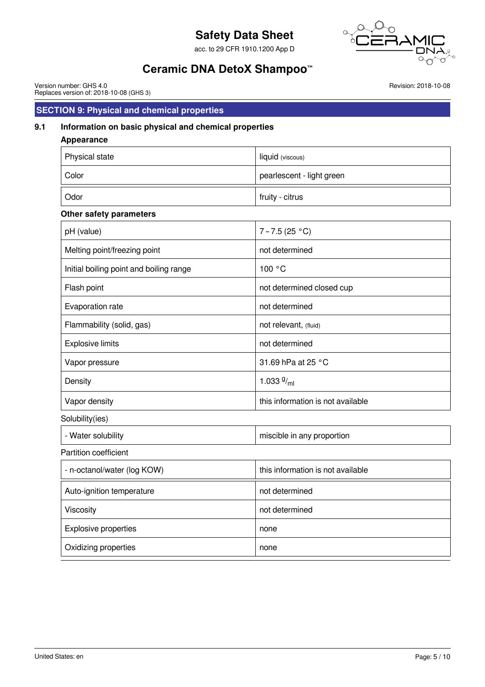acc. to 29 CFR 1910.1200 App D



# **Ceramic DNA DetoX Shampoo™**

Version number: GHS 4.0 Replaces version of: 2018-10-08 (GHS 3) Revision: 2018-10-08

# **SECTION 9: Physical and chemical properties**

## **9.1 Information on basic physical and chemical properties**

| <b>Appearance</b>                       |                                   |
|-----------------------------------------|-----------------------------------|
| Physical state                          | liquid (viscous)                  |
| Color                                   | pearlescent - light green         |
| Odor                                    | fruity - citrus                   |
| Other safety parameters                 |                                   |
| pH (value)                              | $7 - 7.5(25 °C)$                  |
| Melting point/freezing point            | not determined                    |
| Initial boiling point and boiling range | 100 °C                            |
| Flash point                             | not determined closed cup         |
| Evaporation rate                        | not determined                    |
| Flammability (solid, gas)               | not relevant, (fluid)             |
| <b>Explosive limits</b>                 | not determined                    |
| Vapor pressure                          | 31.69 hPa at 25 °C                |
| Density                                 | 1.033 $9/ml$                      |
| Vapor density                           | this information is not available |
| Solubility(ies)                         |                                   |
| - Water solubility                      | miscible in any proportion        |
| Partition coefficient                   |                                   |
| - n-octanol/water (log KOW)             | this information is not available |
| Auto-ignition temperature               | not determined                    |
| Viscosity                               | not determined                    |
| Explosive properties                    | none                              |
| Oxidizing properties                    | none                              |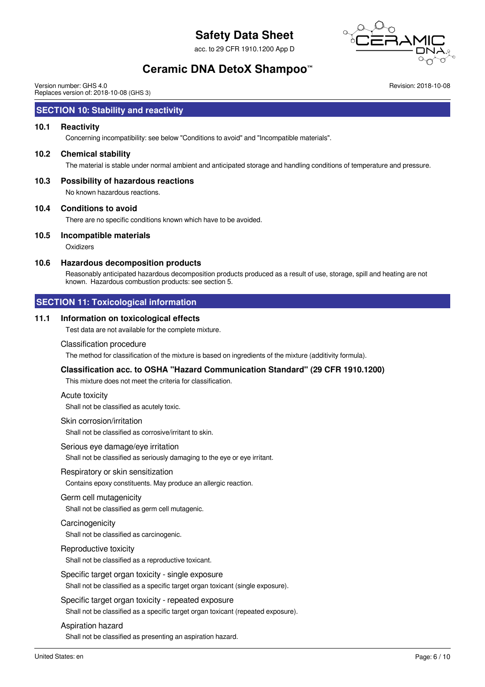acc. to 29 CFR 1910.1200 App D



Revision: 2018-10-08

# **Ceramic DNA DetoX Shampoo™**

Version number: GHS 4.0 Replaces version of: 2018-10-08 (GHS 3)

## **SECTION 10: Stability and reactivity**

#### **10.1 Reactivity**

Concerning incompatibility: see below "Conditions to avoid" and "Incompatible materials".

#### **10.2 Chemical stability**

The material is stable under normal ambient and anticipated storage and handling conditions of temperature and pressure.

### **10.3 Possibility of hazardous reactions**

No known hazardous reactions.

#### **10.4 Conditions to avoid**

There are no specific conditions known which have to be avoided.

#### **10.5 Incompatible materials**

**Oxidizers** 

#### **10.6 Hazardous decomposition products**

Reasonably anticipated hazardous decomposition products produced as a result of use, storage, spill and heating are not known. Hazardous combustion products: see section 5.

### **SECTION 11: Toxicological information**

#### **11.1 Information on toxicological effects**

Test data are not available for the complete mixture.

#### Classification procedure

The method for classification of the mixture is based on ingredients of the mixture (additivity formula).

## **Classification acc. to OSHA "Hazard Communication Standard" (29 CFR 1910.1200)**

This mixture does not meet the criteria for classification.

#### Acute toxicity

Shall not be classified as acutely toxic.

#### Skin corrosion/irritation

Shall not be classified as corrosive/irritant to skin.

#### Serious eye damage/eye irritation

Shall not be classified as seriously damaging to the eye or eye irritant.

#### Respiratory or skin sensitization

Contains epoxy constituents. May produce an allergic reaction.

#### Germ cell mutagenicity

Shall not be classified as germ cell mutagenic.

#### **Carcinogenicity**

Shall not be classified as carcinogenic.

#### Reproductive toxicity

Shall not be classified as a reproductive toxicant.

Specific target organ toxicity - single exposure Shall not be classified as a specific target organ toxicant (single exposure).

# Specific target organ toxicity - repeated exposure

Shall not be classified as a specific target organ toxicant (repeated exposure).

#### Aspiration hazard

Shall not be classified as presenting an aspiration hazard.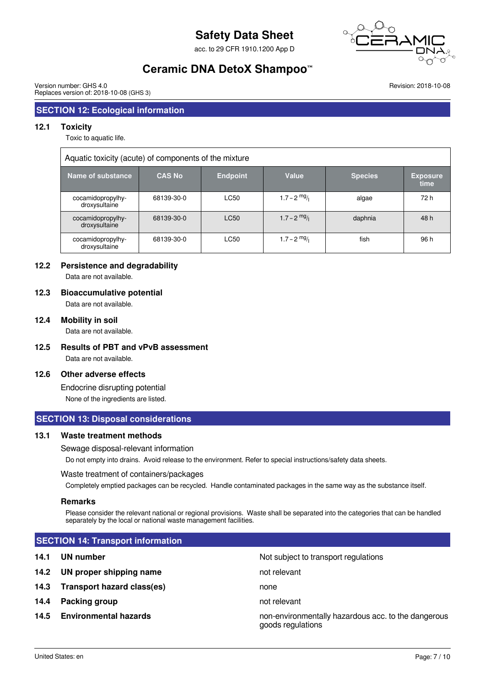acc. to 29 CFR 1910.1200 App D



# **Ceramic DNA DetoX Shampoo™**

Version number: GHS 4.0 Replaces version of: 2018-10-08 (GHS 3) Revision: 2018-10-08

# **SECTION 12: Ecological information**

#### **12.1 Toxicity**

Toxic to aquatic life.

| Aquatic toxicity (acute) of components of the mixture |               |                 |                        |                |                         |
|-------------------------------------------------------|---------------|-----------------|------------------------|----------------|-------------------------|
| <b>Name of substance</b>                              | <b>CAS No</b> | <b>Endpoint</b> | Value                  | <b>Species</b> | <b>Exposure</b><br>time |
| cocamidopropylhy-<br>droxysultaine                    | 68139-30-0    | LC50            | $1.7 - 2 \frac{mg}{l}$ | algae          | 72 h                    |
| cocamidopropylhy-<br>droxysultaine                    | 68139-30-0    | LC50            | $1.7 - 2$ mg/          | daphnia        | 48 h                    |
| cocamidopropylhy-<br>droxysultaine                    | 68139-30-0    | LC50            | 1.7 – 2 $mg/1$         | fish           | 96 h                    |

#### **12.2 Persistence and degradability**

Data are not available.

#### **12.3 Bioaccumulative potential**

Data are not available.

#### **12.4 Mobility in soil**

Data are not available.

**12.5 Results of PBT and vPvB assessment** Data are not available.

#### **12.6 Other adverse effects**

Endocrine disrupting potential None of the ingredients are listed.

#### **SECTION 13: Disposal considerations**

#### **13.1 Waste treatment methods**

Sewage disposal-relevant information

Do not empty into drains. Avoid release to the environment. Refer to special instructions/safety data sheets.

#### Waste treatment of containers/packages

Completely emptied packages can be recycled. Handle contaminated packages in the same way as the substance itself.

#### **Remarks**

Please consider the relevant national or regional provisions. Waste shall be separated into the categories that can be handled separately by the local or national waste management facilities.

#### **SECTION 14: Transport information**

## **14.1 UN number** Not subject to transport regulations

- **14.2 UN proper shipping name** not relevant
- **14.3 Transport hazard class(es)** none
- **14.4 Packing group not relevant**
- 

**14.5 Environmental hazards non-environmentally hazardous acc. to the dangerous** goods regulations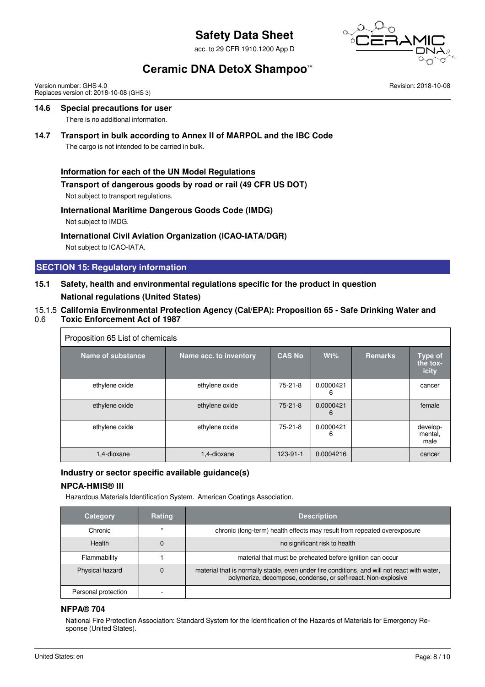acc. to 29 CFR 1910.1200 App D



# **Ceramic DNA DetoX Shampoo™**

Version number: GHS 4.0 Replaces version of: 2018-10-08 (GHS 3) Revision: 2018-10-08

## **14.6 Special precautions for user**

There is no additional information.

#### **14.7 Transport in bulk according to Annex II of MARPOL and the IBC Code**

The cargo is not intended to be carried in bulk.

#### **Information for each of the UN Model Regulations**

#### **Transport of dangerous goods by road or rail (49 CFR US DOT)**

Not subject to transport regulations.

# **International Maritime Dangerous Goods Code (IMDG)**

Not subject to IMDG.

#### **International Civil Aviation Organization (ICAO-IATA/DGR)**

Not subject to ICAO-IATA.

## **SECTION 15: Regulatory information**

# **15.1 Safety, health and environmental regulations specific for the product in question National regulations (United States)**

## 15.1.5 **California Environmental Protection Agency (Cal/EPA): Proposition 65 - Safe Drinking Water and**

0.6 **Toxic Enforcement Act of 1987**

| Proposition 65 List of chemicals |                        |               |                |                |                                     |
|----------------------------------|------------------------|---------------|----------------|----------------|-------------------------------------|
| <b>Name of substance</b>         | Name acc. to inventory | <b>CAS No</b> | $Wt\%$         | <b>Remarks</b> | <b>Type of</b><br>the tox-<br>icity |
| ethylene oxide                   | ethylene oxide         | $75-21-8$     | 0.0000421<br>6 |                | cancer                              |
| ethylene oxide                   | ethylene oxide         | $75-21-8$     | 0.0000421<br>6 |                | female                              |
| ethylene oxide                   | ethylene oxide         | $75-21-8$     | 0.0000421<br>6 |                | develop-<br>mental,<br>male         |
| 1.4-dioxane                      | 1,4-dioxane            | 123-91-1      | 0.0004216      |                | cancer                              |

# **Industry or sector specific available guidance(s)**

## **NPCA-HMIS® III**

Hazardous Materials Identification System. American Coatings Association.

| <b>Category</b>     | <b>Rating</b> | <b>Description</b>                                                                                                                                            |
|---------------------|---------------|---------------------------------------------------------------------------------------------------------------------------------------------------------------|
| Chronic             |               | chronic (long-term) health effects may result from repeated overexposure                                                                                      |
| <b>Health</b>       |               | no significant risk to health                                                                                                                                 |
| Flammability        |               | material that must be preheated before ignition can occur                                                                                                     |
| Physical hazard     |               | material that is normally stable, even under fire conditions, and will not react with water,<br>polymerize, decompose, condense, or self-react. Non-explosive |
| Personal protection |               |                                                                                                                                                               |

#### **NFPA® 704**

National Fire Protection Association: Standard System for the Identification of the Hazards of Materials for Emergency Response (United States).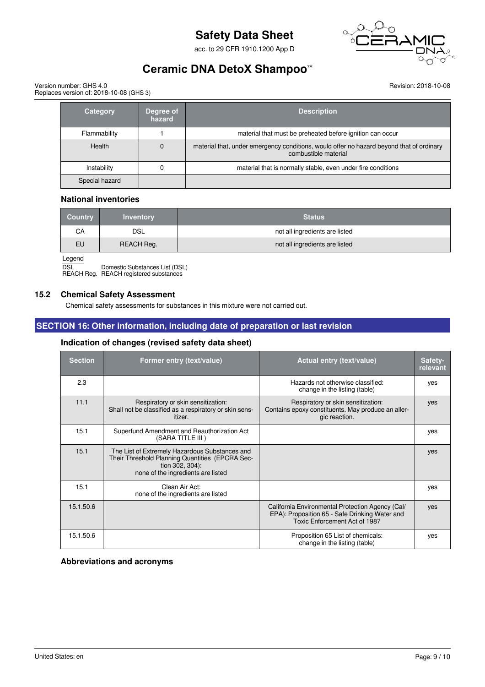acc. to 29 CFR 1910.1200 App D



# **Ceramic DNA DetoX Shampoo™**

Version number: GHS 4.0 Replaces version of: 2018-10-08 (GHS 3) Revision: 2018-10-08

| <b>Category</b> | Degree of<br>hazard | <b>Description</b>                                                                                               |
|-----------------|---------------------|------------------------------------------------------------------------------------------------------------------|
| Flammability    |                     | material that must be preheated before ignition can occur                                                        |
| <b>Health</b>   | $\Omega$            | material that, under emergency conditions, would offer no hazard beyond that of ordinary<br>combustible material |
| Instability     |                     | material that is normally stable, even under fire conditions                                                     |
| Special hazard  |                     |                                                                                                                  |

#### **National inventories**

| <b>Country</b> | <b>Inventory</b> | <b>Status</b>                  |
|----------------|------------------|--------------------------------|
| CA             | DSL              | not all ingredients are listed |
| EU             | REACH Reg.       | not all ingredients are listed |
|                |                  |                                |

**Legend** 

DSL Domestic Substances List (DSL) REACH Reg. REACH registered substances

#### **15.2 Chemical Safety Assessment**

Chemical safety assessments for substances in this mixture were not carried out.

## **SECTION 16: Other information, including date of preparation or last revision**

#### **Indication of changes (revised safety data sheet)**

| <b>Section</b> | Former entry (text/value)                                                                                                                                  | <b>Actual entry (text/value)</b>                                                                                                    | Safety-<br>relevant |
|----------------|------------------------------------------------------------------------------------------------------------------------------------------------------------|-------------------------------------------------------------------------------------------------------------------------------------|---------------------|
| 2.3            |                                                                                                                                                            | Hazards not otherwise classified:<br>change in the listing (table)                                                                  | yes                 |
| 11.1           | Respiratory or skin sensitization:<br>Shall not be classified as a respiratory or skin sens-<br>itizer.                                                    | Respiratory or skin sensitization:<br>Contains epoxy constituents. May produce an aller-<br>gic reaction.                           | yes                 |
| 15.1           | Superfund Amendment and Reauthorization Act<br>(SARA TITLE III)                                                                                            |                                                                                                                                     | yes                 |
| 15.1           | The List of Extremely Hazardous Substances and<br>Their Threshold Planning Quantities (EPCRA Sec-<br>tion 302, 304):<br>none of the ingredients are listed |                                                                                                                                     | yes                 |
| 15.1           | Clean Air Act:<br>none of the ingredients are listed                                                                                                       |                                                                                                                                     | yes                 |
| 15.1.50.6      |                                                                                                                                                            | California Environmental Protection Agency (Cal/<br>EPA): Proposition 65 - Safe Drinking Water and<br>Toxic Enforcement Act of 1987 | yes                 |
| 15.1.50.6      |                                                                                                                                                            | Proposition 65 List of chemicals:<br>change in the listing (table)                                                                  | yes                 |

**Abbreviations and acronyms**